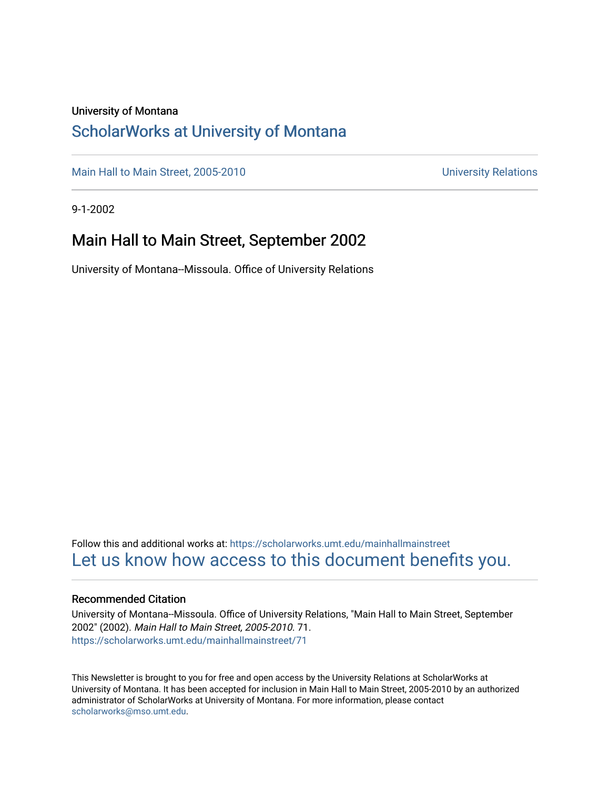#### University of Montana

### [ScholarWorks at University of Montana](https://scholarworks.umt.edu/)

[Main Hall to Main Street, 2005-2010](https://scholarworks.umt.edu/mainhallmainstreet) Main Hall to Main Street, 2005-2010

9-1-2002

### Main Hall to Main Street, September 2002

University of Montana--Missoula. Office of University Relations

Follow this and additional works at: [https://scholarworks.umt.edu/mainhallmainstreet](https://scholarworks.umt.edu/mainhallmainstreet?utm_source=scholarworks.umt.edu%2Fmainhallmainstreet%2F71&utm_medium=PDF&utm_campaign=PDFCoverPages) [Let us know how access to this document benefits you.](https://goo.gl/forms/s2rGfXOLzz71qgsB2) 

#### Recommended Citation

University of Montana--Missoula. Office of University Relations, "Main Hall to Main Street, September 2002" (2002). Main Hall to Main Street, 2005-2010. 71. [https://scholarworks.umt.edu/mainhallmainstreet/71](https://scholarworks.umt.edu/mainhallmainstreet/71?utm_source=scholarworks.umt.edu%2Fmainhallmainstreet%2F71&utm_medium=PDF&utm_campaign=PDFCoverPages) 

This Newsletter is brought to you for free and open access by the University Relations at ScholarWorks at University of Montana. It has been accepted for inclusion in Main Hall to Main Street, 2005-2010 by an authorized administrator of ScholarWorks at University of Montana. For more information, please contact [scholarworks@mso.umt.edu.](mailto:scholarworks@mso.umt.edu)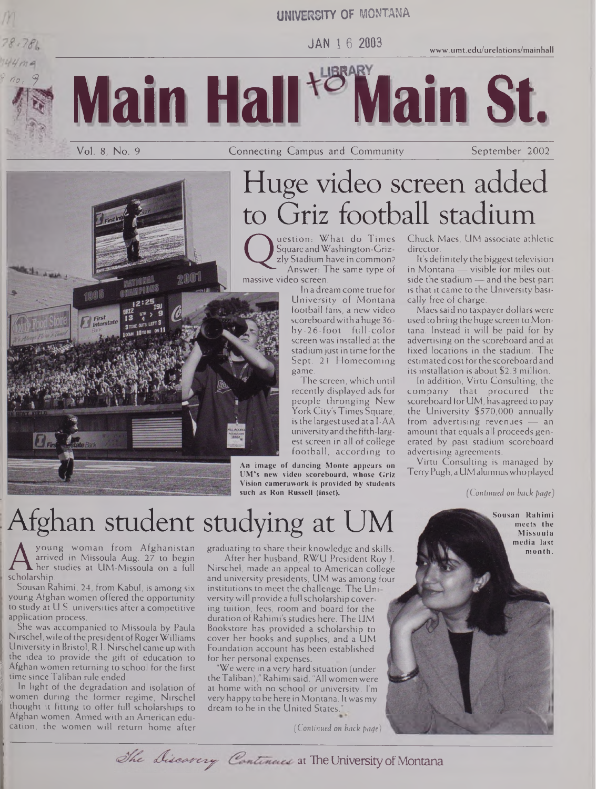### **UNIVERSITY OF MONTANA**

**JAN <sup>1</sup> <sup>6</sup> <sup>2003</sup> [www.umt.edu/urelations/mainhall](http://www.umt.edu/urelations/mainhall)**



, nur et

995



Vol. 8, No. 9 **Connecting Campus and Community** September 2002

# Huge video screen added to Griz football stadium

massive video screen. uestion: What do Times Square andWashington-Grizzly Stadium have in common? Answer: The same type of

In a dream come true for University of Montana football fans, a new video scoreboard with a huge 36by-26-foot full-color screen was installed at the stadium just in time for the stadium just in time for the<br>Sept. 21 Homecomian Sept. 21 Homecoming game.<br>The

The screen, which until recently displayed ads for people thronging inew<br>York City's Times Square York City's Times Square, university and the fifth-largest screen in all of college est screen in all of conege football, according to

**An image of dancing Monte appears on UM's new video scoreboard, whose Griz Vision camerawork is provided by students such as Ron Russell (inset).**

#### Chuck Maes, UM associate athletic director.

It's definitely the biggest television in Montana — visible for miles outside the stadium — and the best part is that it came to the University basically free of charge.

Maessaid no taxpayer dollars were used to bring the huge screen to Montana. Instead it will be paid for by advertising on the scoreboard and at fixed locations in the stadium. The estimated cost for the scoreboard and its installation is about \$2.3 million.

In addition, Virtu Consulting, the company that procured the scoreboard for UM, has agreed to pay the University \$570,000 annually from advertising revenues — an amount that equals all proceeds generated by past stadium scoreboard advertising agreements.

Virtu Consulting is managed by TerryPugh, a UMalumnus who played

*(Continued on back page)*

# Afghan student studying at UM

A arrived in<br>scholarship.<br>Sousan Rahimi young woman from Afghanistan arrived in Missoula Aug. 27 to begin her studies at UM-Missoula on a full

Sousan Rahimi, 24, from Kabul, is among six young Afghan women offered the opportunity to study at U.S. universities after a competitive application process.

She was accompanied to Missoula by Paula Nirschel, wife of the president of Roger Williams University in Bristol, R.I. Nirschel came up with the idea to provide the gift of education to Afghan women returning to school for the first time since Taliban rule ended.<br>In light of the degradation and isolation of

women during the former regime, Nirschel thought it fitting to offer full scholarships to Afghan women. Armed with an American education, the women will return home after

Afghan women. Armed with an American education, the women will return home after graduating to share their knowledge and skills.

After her husband, RWU President Roy J. Nirschel, made an appeal to American college and university presidents, UM was among four institutions to meet the challenge. The Uni versitywill provide a full scholarship covering tuition, fees, room and board for the duration of Rahimi's studies here. The UM Bookstore has provided a scholarship to cover her books and supplies, and a UM Foundation account has been established for her personal expenses.

We were in a very hard situation (under theTaliban)," Rahimisaid. "All women were at home with no school or university. I'm very happy to be here in Montana. Itwasmy dream to be in the United States."

*(Continued on back page)*



at The University of Montana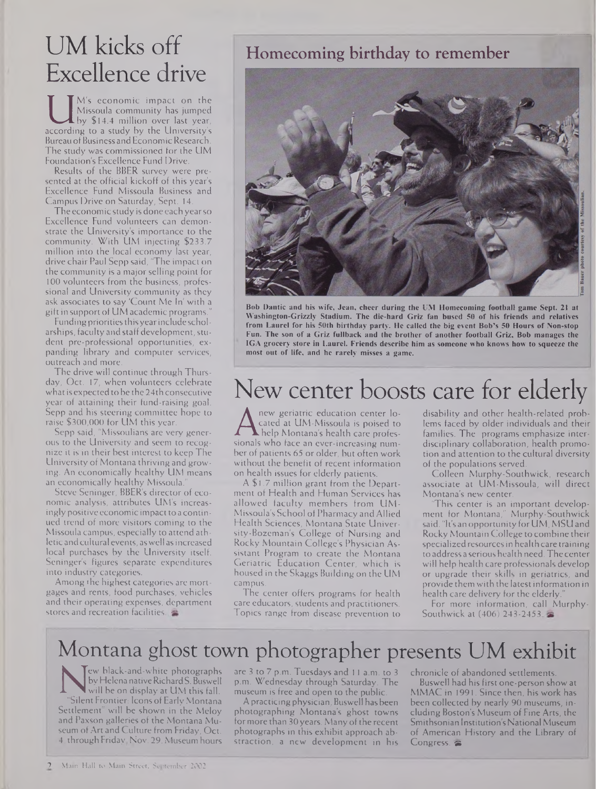## UM kicks off Excellence drive

Missoula community has jumped<br>by \$14.4 million over last year,<br>according to a study by the University's<br>Bureau of Business and Fronomic Research M's economic impact on the Missoula community has jumped by \$14.4 million over last year, Bureau of Business and Economic Research. The study was commissioned for the UM Foundation's Excellence Fund Drive.

Results of the BBER survey were presented at the official kickoff of this year's Excellence Fund Missoula Business and Campus Drive on Saturday, Sept. 14.

The economic study is done each yearso Excellence Fund volunteers can demonstrate the University's importance to the community. With UM injecting \$233.7 million into the local economy last year, drive chair Paul Sepp said, "The impact on the community is a major selling point for 100 volunteers from the business, professional and University community as they ask associates to say 'Count Me In' with a gift in support of UM academic programs."

Funding priorities thisyearinclude scholarships, faculty and staff development, student pre-professional opportunities, expanding library and computer services, outreach and more.

The drive will continue through Thursday, Oct. 17, when volunteers celebrate what is expected to be the 24th consecutive year of attaining their fund-raising goal. Sepp and his steering committee hope to raise \$300,000 for UM this year.

Sepp said, "Missoulians are very generous to the University and seem to recognize it is in their best interest to keep The University of Montana thriving and growing. An economically healthy UM means an economically healthy Missoula."

Steve Seninger, BBER's director of economic analysis, attributes UM's increasingly positive economic impact to a continued trend of more visitors coming to the Missoula campus, especially to attend athleticandcultural events, aswell as increased local purchases by the University itself. Seninger's figures separate expenditures into industry categories.

Among the highest categories are mortgages and rents, food purchases, vehicles and their operating expenses, department stores and recreation facilities.

### Homecoming birthday to remember



**Bob Dantic and his wife, Jean, cheer during the UM Homecoming football game Sept. 21 at Washington-Grizzly Stadium. The die-hard Griz fan bused 50 of his friends and relatives from Laurel for his 50th birthday party. He called the big event Bob's 50 Hours of Non-stop Fun. The son of a Griz fullback and the brother of another football Griz, Bob manages the IGA grocery store in Laurel. Friends describe him as someone who knows how to squeeze the most out of life, and he rarely misses a game.**

## New center boosts care for elderly

A cated at UM-Missoula is poised to<br>help Montana's health care profes-<br>sionals who face an ever-increasing num-<br>her of patients 65 or older but often work new geriatric education center located at UM-Missoula is poised to help Montana's health care profesber of patients 65 or older, but often work without the benefit of recent information on health issues for elderly patients.

A \$1.7 million grant from the Department of Health and Human Services has allowed faculty members from UM-Missoula's School ofPharmacy and Allied Health Sciences, Montana State University-Bozeman's College of Nursing and Rocky Mountain College's Physician Assistant Program to create the Montana Geriatric Education Center, which is housed in the Skaggs Building on the UM campus.

The center offers programs for health care educators, students and practitioners. Topics range from disease prevention to disability and other health-related problems faced by older individuals and their families. The programs emphasize interdisciplinary collaboration, health promotion and attention to the cultural diversity of the populations served.

Colleen Murphy-Southwick, research associate at UM-Missoula, will direct Montana's new center.

This center is an important development for Montana," Murphy-Southwick said. "It's an opportunity for UM, MSU and Rocky Mountain College to combine their specialized resources in health care training to address a serious health need.The center will help health care professionals develop or upgrade their skills in geriatrics, and provide them with the latest information in health care delivery for the elderly.

For more information, call Murphy-Southwick at (406) 243-2453.

### Montana ghost town photographer presents UM exhibit

Nelena native Richard S. Buswell<br>
will be on display at UM this fall.<br>
"Silent Frontier: Icons of Early Montana<br>
Settlement" will be shown in the Meloy ew black-and-white photographs by Helena native Richard S. Buswell will be on display at UM this fall. Silent Frontier: Icons of Early Montana and Paxson galleries of the Montana Museum of Art and Culture from Friday, Oct. 4, through Friday, Nov. 29. Museum hours

are 3 to 7 p.m. Tuesdays and <sup>11</sup> a.m. to 3 p.m. Wednesday through Saturday. The museum is free and open to the public.

Apracticingphysician, Buswell has been photographing Montana's ghost towns for more than 30 years. Many of the recent photographs in this exhibit approach abstraction, a new development in his chronicle of abandoned settlements.

Buswell had his first one-person show at MMAC in 1991. Since then, his work has been collected by nearly 90 museums, including Boston's Museum of Fine Arts, the Smithsonian Institution's National Museum of American History and the Library of Congress.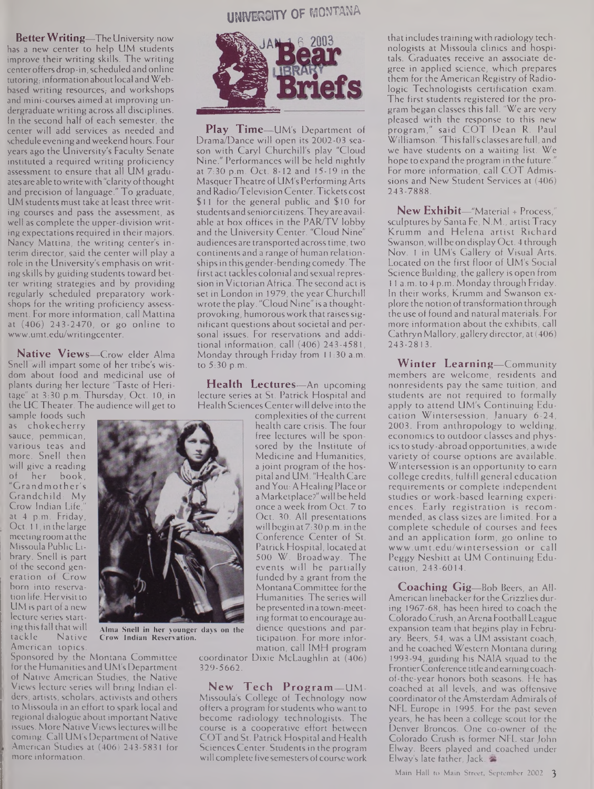**BetterWriting—**The University now has a new center to help UM students improve their writing skills. The writing center offers drop-in, scheduled and online tutoring, information about local and Webbased writing resources, and workshops and mini-courses aimed at improving undergraduate writing across all disciplines. In the second half of each semester, the center will add services as needed and schedule eveningandweekend hours. Four years ago the University's Faculty Senate instituted a required writing proficiency assessment to ensure that all UM graduates are able to write with "clarity of thought and precision of language." To graduate, UM students must take at least three writing courses and pass the assessment, as well as complete the upper-division writing expectations required in their majors. Nancy Mattina, the writing center's interim director, said the center will play a role in the University's emphasis on writing skills by guiding students toward better writing strategies and by providing regularly scheduled preparatory workshops for the writing proficiency assessment. For more information, call Mattina at (406) 243-2470, or go online to [www.umt.edu/writingcenter](http://www.umt.edu/writingcenter).

**Native Views—**Crow elder Alma Snell will impart some of her tribe's wisdom about food and medicinal use of plants during her lecture "Taste of Heritage" at 3:30 p.m. Thursday, Oct. 10, in the UCTheater. The audience will get to

sample foods such as chokecherry sauce, pemmican, various teas and more. Snell then will give a reading<br>of her book. her book, "Grandmother's Grandchild: My Crow Indian Life, at 4 p.m. Friday, Oct. 11, in the large meeting room at the Missoula Public Library. Snell is part of the second generation of Crow born into reservationlife. Hervisitto UM is part of a new lecture series starting this fall that will<br>tackle Native Native American topics.

**UNIVERSITY OF MONTANA**



**Play Time—**UM's Department of Drama/Dance will open its 2002-03 season with Caryl Churchill's play "Cloud Nine." Performances will be held nightly at 7:30 p.m. Oct. 8-12 and 15-19 in the MasquerTheatre of UM's PerformingArts andRadio/Television Center. Tickets cost \$11 for the general public and \$10 for students and seniorcitizens.Theyare available at box offices in the PAR/TV lobby and the University Center. "Cloud Nine" audiences are transported acrosstime, two continents and a range of human relationshipsin this gender-bending comedy. The first act tackles colonial and sexual repression in Victorian Africa. The second act is set in London in 1979, the year Churchill wrote the play. "Cloud Nine" is a thoughtprovoking, humorous work that raises significant questions about societal and personal issues. For reservations and additional information, call (406) 243-4581, Monday through Friday from 11:30 a.m. to 5:30 p.m.

**Health Lectures—**An upcoming lecture series at St. Patrick Hospital and Health Sciences Centerwill delve into the

complexities of the current health care crisis. The four free lectures will be sponsored by the Institute of Medicine and Humanities, a joint program of the hospital and UM. "Health Care andYou: A Healing Place or a Marketplace?"will be held once a week from Oct. 7 to Oct. 30. All presentations will begin at 7:30 p.m. in the Conference Center of St. Patrick Hospital, located at 500 W. Broadway. The events will be partially funded by a grant from the MontanaCommittee forthe Humanities. The series will be presented in a town-meeting format to encourage audience questions and participation. For more information, call IMH program

coordinator Dixie McLaughlin at (406) 329-5662.

**New Tech Program—**UM-Missoula's College of Technology now offers a program forstudents who want to become radiology technologists. The course is a cooperative effort between COT and St. Patrick Hospital and Health Sciences Center. Students in the program will complete five semesters of course work

that includestrainingwith radiology technologists at Missoula clinics and hospitals. Graduates receive an associate degree in applied science, which prepares them for the American Registry of Radiologic Technologists certification exam. The first students registered for the program began classes this fall. "We are very pleased with the response to this new program," said COT Dean R. Paul Williamson. "This fall's classes are full, and we have students on a waiting list. We hope to expand the program in the future." For more information, call COT Admissions and New Student Services at (406) 243-7888.

**New Exhibit—**"Material <sup>+</sup> Process," sculptures by Santa Fe, N.M., artist Tracy Krumm and Helena artist Richard Swanson, will be on display Oct. 4 through Nov. <sup>1</sup> in UM's Gallery of Visual Arts. Located on the first floor of UM's Social Science Building, the gallery is open from 1<sup>1</sup> a.m. to 4 p.m. Monday through Friday. In their works, Krumm and Swanson explore the notion of transformation through the use of found and natural materials. For more information about the exhibits, call Cathryn Mallory, gallery director, at(406) 243-2813.

**Winter Learning—**Community members are welcome, residents and nonresidents pay the same tuition, and students are not required to formally apply to attend UM's Continuing Education Wintersession, January 6-24, 2003. From anthropology to welding, economics to outdoor classes and physics to study-abroad opportunities, a wide variety of course options are available. Wintersession is an opportunity to earn college credits, fulfill general education requirements or complete independent studies or work-based learning experiences. Early registration is recommended, as class sizes are limited. For a complete schedule of courses and fees and an application form, go online to [www.umt.edu/wintersession](http://www.umt.edu/wintersession) or call Peggy Nesbitt at UM Continuing Education, 243-6014.

**Coaching Gig—**Bob Beers, an All-American linebacker for the Grizzlies during 1967-68, has been hired to coach the Colorado Crush, anArena Football League expansion team that begins play in February. Beers, 54, was a UM assistant coach, and he coached Western Montana during 1993-94, guiding his NA1A squad to the FrontierConference titleandearningcoachof-the-year honors both seasons. He has coached at all levels, and was offensive coordinatorof the Amsterdam Admirals of NFL Europe in 1995. For the past seven years, he has been a college scout for the Denver Broncos. One co-owner of the Colorado Crush is former NFL star John Elway. Beers played and coached under Elway's late father, Jack.





**Alma Snell in her younger days on the Crow Indian Reservation.**

Sponsored by the Montana Committee forthe Humanities and UM's Department of Native American Studies, the Native Views lecture series will bring Indian elders, artists, scholars, activists and others to Missoula in an effort to spark local and regional dialogue about important Native issues. More Native Viewslectures will be coming. Call UM's Department of Native American Studies at (406) 243-5831 for more information.